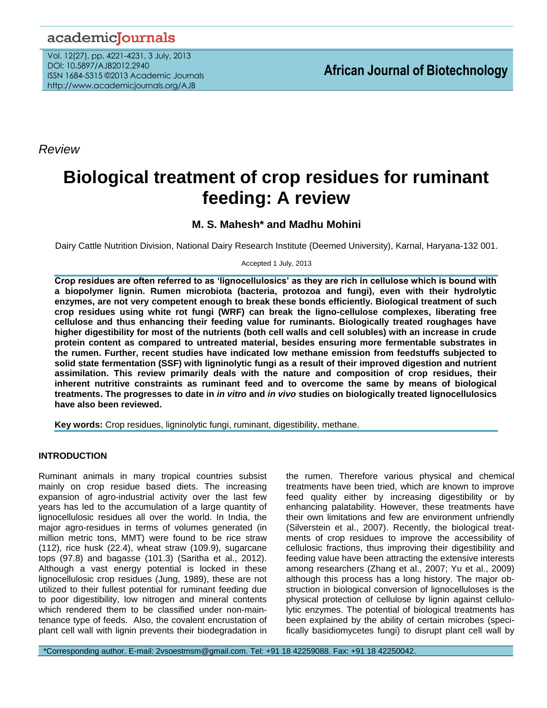## academicJournals

Vol. 12(27), pp. 4221-4231, 3 July, 2013 DOI: 10.5897/AJB2012.2940 ISSN 1684-5315 ©2013 Academic Journals http://www.academicjournals.org/AJB

*Review*

# **Biological treatment of crop residues for ruminant feeding: A review**

### **M. S. Mahesh\* and Madhu Mohini**

Dairy Cattle Nutrition Division, National Dairy Research Institute (Deemed University), Karnal, Haryana-132 001.

Accepted 1 July, 2013

**Crop residues are often referred to as 'lignocellulosics' as they are rich in cellulose which is bound with a biopolymer lignin. Rumen microbiota (bacteria, protozoa and fungi), even with their hydrolytic enzymes, are not very competent enough to break these bonds efficiently. Biological treatment of such crop residues using white rot fungi (WRF) can break the ligno-cellulose complexes, liberating free cellulose and thus enhancing their feeding value for ruminants. Biologically treated roughages have higher digestibility for most of the nutrients (both cell walls and cell solubles) with an increase in crude protein content as compared to untreated material, besides ensuring more fermentable substrates in the rumen. Further, recent studies have indicated low methane emission from feedstuffs subjected to solid state fermentation (SSF) with ligninolytic fungi as a result of their improved digestion and nutrient assimilation. This review primarily deals with the nature and composition of crop residues, their inherent nutritive constraints as ruminant feed and to overcome the same by means of biological treatments. The progresses to date in** *in vitro* **and** *in vivo* **studies on biologically treated lignocellulosics have also been reviewed.**

**Key words:** Crop residues, ligninolytic fungi, ruminant, digestibility, methane.

#### **INTRODUCTION**

Ruminant animals in many tropical countries subsist mainly on crop residue based diets. The increasing expansion of agro-industrial activity over the last few years has led to the accumulation of a large quantity of lignocellulosic residues all over the world. In India, the major agro-residues in terms of volumes generated (in million metric tons, MMT) were found to be rice straw (112), rice husk (22.4), wheat straw (109.9), sugarcane tops (97.8) and bagasse (101.3) (Saritha et al., 2012). Although a vast energy potential is locked in these lignocellulosic crop residues (Jung, 1989), these are not utilized to their fullest potential for ruminant feeding due to poor digestibility, low nitrogen and mineral contents which rendered them to be classified under non-maintenance type of feeds. Also, the covalent encrustation of plant cell wall with lignin prevents their biodegradation in

the rumen. Therefore various physical and chemical treatments have been tried, which are known to improve feed quality either by increasing digestibility or by enhancing palatability. However, these treatments have their own limitations and few are environment unfriendly (Silverstein et al., 2007). Recently, the biological treatments of crop residues to improve the accessibility of cellulosic fractions, thus improving their digestibility and feeding value have been attracting the extensive interests among researchers (Zhang et al., 2007; Yu et al., 2009) although this process has a long history. The major obstruction in biological conversion of lignocelluloses is the physical protection of cellulose by lignin against cellulolytic enzymes. The potential of biological treatments has been explained by the ability of certain microbes (specifically basidiomycetes fungi) to disrupt plant cell wall by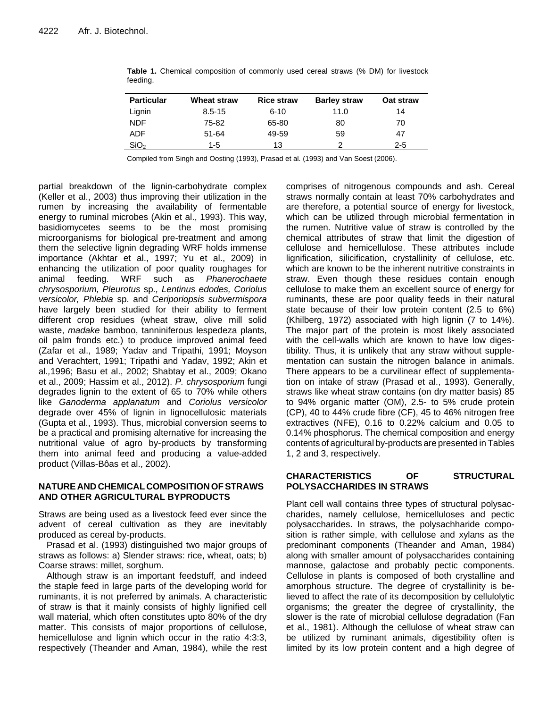| <b>Particular</b> | <b>Wheat straw</b> | <b>Rice straw</b> | <b>Barley straw</b> | Oat straw |
|-------------------|--------------------|-------------------|---------------------|-----------|
| Lignin            | $8.5 - 15$         | $6 - 10$          | 11.0                | 14        |
|                   |                    |                   |                     |           |
| <b>NDF</b>        | 75-82              | 65-80             | 80                  | 70        |
| ADF               | 51-64              | 49-59             | 59                  | 47        |
| SiO <sub>2</sub>  | $1-5$              | 13                | ◠                   | 2-5       |

**Table 1.** Chemical composition of commonly used cereal straws (% DM) for livestock feeding.

Compiled from Singh and Oosting (1993), Prasad et al*.* (1993) and Van Soest (2006).

partial breakdown of the lignin-carbohydrate complex (Keller et al., 2003) thus improving their utilization in the rumen by increasing the availability of fermentable energy to ruminal microbes (Akin et al., 1993). This way, basidiomycetes seems to be the most promising microorganisms for biological pre-treatment and among them the selective lignin degrading WRF holds immense importance (Akhtar et al., 1997; Yu et al., 2009) in enhancing the utilization of poor quality roughages for animal feeding. WRF such as *Phanerochaete chrysosporium, Pleurotus* sp*., Lentinus edodes, Coriolus versicolor, Phlebia* sp. and *Ceriporiopsis subvermispora* have largely been studied for their ability to ferment different crop residues (wheat straw, olive mill solid waste, *madake* bamboo, tanniniferous lespedeza plants, oil palm fronds etc.) to produce improved animal feed (Zafar et al., 1989; Yadav and Tripathi, 1991; Moyson and Verachtert, 1991; Tripathi and Yadav, 1992; Akin et al*.,*1996; Basu et al., 2002; Shabtay et al., 2009; Okano et al., 2009; Hassim et al., 2012). *P. chrysosporium* fungi degrades lignin to the extent of 65 to 70% while others like *Ganoderma applanatum* and *Coriolus versicolor* degrade over 45% of lignin in lignocellulosic materials (Gupta et al., 1993). Thus, microbial conversion seems to be a practical and promising alternative for increasing the nutritional value of agro by-products by transforming them into animal feed and producing a value-added product (Villas-Bôas et al., 2002).

#### **NATURE AND CHEMICAL COMPOSITIONOFSTRAWS AND OTHER AGRICULTURAL BYPRODUCTS**

Straws are being used as a livestock feed ever since the advent of cereal cultivation as they are inevitably produced as cereal by-products.

Prasad et al. (1993) distinguished two major groups of straws as follows: a) Slender straws: rice, wheat, oats; b) Coarse straws: millet, sorghum.

Although straw is an important feedstuff, and indeed the staple feed in large parts of the developing world for ruminants, it is not preferred by animals. A characteristic of straw is that it mainly consists of highly lignified cell wall material, which often constitutes upto 80% of the dry matter. This consists of major proportions of cellulose, hemicellulose and lignin which occur in the ratio 4:3:3, respectively (Theander and Aman, 1984), while the rest

comprises of nitrogenous compounds and ash. Cereal straws normally contain at least 70% carbohydrates and are therefore, a potential source of energy for livestock, which can be utilized through microbial fermentation in the rumen. Nutritive value of straw is controlled by the chemical attributes of straw that limit the digestion of cellulose and hemicellulose. These attributes include lignification, silicification, crystallinity of cellulose, etc. which are known to be the inherent nutritive constraints in straw. Even though these residues contain enough cellulose to make them an excellent source of energy for ruminants, these are poor quality feeds in their natural state because of their low protein content (2.5 to 6%) (Khilberg, 1972) associated with high lignin (7 to 14%). The major part of the protein is most likely associated with the cell-walls which are known to have low digestibility. Thus, it is unlikely that any straw without supplementation can sustain the nitrogen balance in animals. There appears to be a curvilinear effect of supplementation on intake of straw (Prasad et al., 1993). Generally, straws like wheat straw contains (on dry matter basis) 85 to 94% organic matter (OM), 2.5- to 5% crude protein (CP), 40 to 44% crude fibre (CF), 45 to 46% nitrogen free extractives (NFE), 0.16 to 0.22% calcium and 0.05 to 0.14% phosphorus. The chemical composition and energy contents of agricultural by-products are presented in Tables 1, 2 and 3, respectively.

#### **CHARACTERISTICS OF STRUCTURAL POLYSACCHARIDES IN STRAWS**

Plant cell wall contains three types of structural polysaccharides, namely cellulose, hemicelluloses and pectic polysaccharides. In straws, the polysachharide composition is rather simple, with cellulose and xylans as the predominant components (Theander and Aman, 1984) along with smaller amount of polysaccharides containing mannose, galactose and probably pectic components. Cellulose in plants is composed of both crystalline and amorphous structure. The degree of crystallinity is believed to affect the rate of its decomposition by cellulolytic organisms; the greater the degree of crystallinity, the slower is the rate of microbial cellulose degradation (Fan et al., 1981). Although the cellulose of wheat straw can be utilized by ruminant animals, digestibility often is limited by its low protein content and a high degree of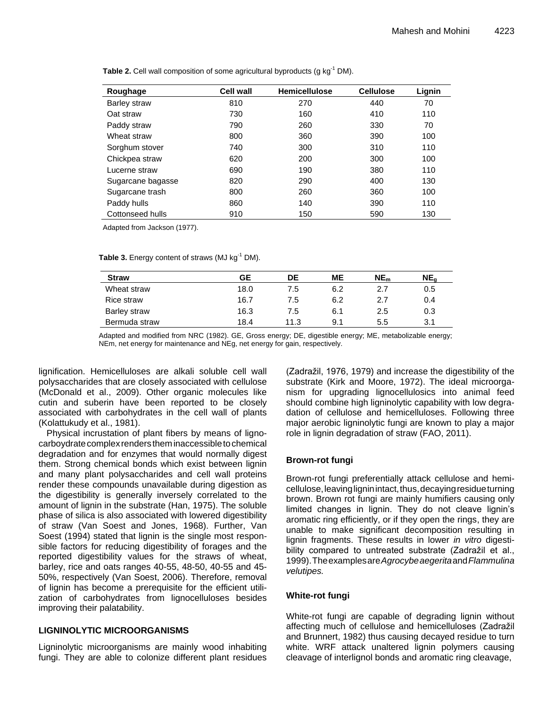| Roughage          | <b>Cell wall</b> | <b>Hemicellulose</b> | <b>Cellulose</b> | Lignin |
|-------------------|------------------|----------------------|------------------|--------|
| Barley straw      | 810              | 270                  | 440              | 70     |
| Oat straw         | 730              | 160                  | 410              | 110    |
| Paddy straw       | 790              | 260                  | 330              | 70     |
| Wheat straw       | 800              | 360                  | 390              | 100    |
| Sorghum stover    | 740              | 300                  | 310              | 110    |
| Chickpea straw    | 620              | 200                  | 300              | 100    |
| Lucerne straw     | 690              | 190                  | 380              | 110    |
| Sugarcane bagasse | 820              | 290                  | 400              | 130    |
| Sugarcane trash   | 800              | 260                  | 360              | 100    |
| Paddy hulls       | 860              | 140                  | 390              | 110    |
| Cottonseed hulls  | 910              | 150                  | 590              | 130    |

**Table 2.** Cell wall composition of some agricultural byproducts (g kg<sup>-1</sup> DM).

Adapted from Jackson (1977).

**Table 3.** Energy content of straws (MJ kg<sup>-1</sup> DM).

| <b>Straw</b>  | GЕ   | DE   | <b>ME</b> | NE <sub>m</sub> | NE <sub>a</sub> |
|---------------|------|------|-----------|-----------------|-----------------|
| Wheat straw   | 18.0 | 7.5  | 6.2       | 2.7             | 0.5             |
| Rice straw    | 16.7 | 7.5  | 6.2       | 2.7             | 0.4             |
| Barley straw  | 16.3 | 7.5  | 6.1       | 2.5             | 0.3             |
| Bermuda straw | 18.4 | 11.3 | 9.1       | 5.5             | 3.1             |

Adapted and modified from NRC (1982). GE, Gross energy; DE, digestible energy; ME, metabolizable energy; NEm, net energy for maintenance and NEg, net energy for gain, respectively.

lignification. Hemicelluloses are alkali soluble cell wall polysaccharides that are closely associated with cellulose (McDonald et al., 2009). Other organic molecules like cutin and suberin have been reported to be closely associated with carbohydrates in the cell wall of plants (Kolattukudy et al., 1981).

Physical incrustation of plant fibers by means of lignocarboydrate complex renders them inaccessible to chemical degradation and for enzymes that would normally digest them. Strong chemical bonds which exist between lignin and many plant polysaccharides and cell wall proteins render these compounds unavailable during digestion as the digestibility is generally inversely correlated to the amount of lignin in the substrate (Han, 1975). The soluble phase of silica is also associated with lowered digestibility of straw (Van Soest and Jones, 1968). Further, Van Soest (1994) stated that lignin is the single most responsible factors for reducing digestibility of forages and the reported digestibility values for the straws of wheat, barley, rice and oats ranges 40-55, 48-50, 40-55 and 45- 50%, respectively (Van Soest, 2006). Therefore, removal of lignin has become a prerequisite for the efficient utilization of carbohydrates from lignocelluloses besides improving their palatability.

#### **LIGNINOLYTIC MICROORGANISMS**

Ligninolytic microorganisms are mainly wood inhabiting fungi. They are able to colonize different plant residues (Zadražil, 1976, 1979) and increase the digestibility of the substrate (Kirk and Moore, 1972). The ideal microorganism for upgrading lignocellulosics into animal feed should combine high ligninolytic capability with low degradation of cellulose and hemicelluloses. Following three major aerobic ligninolytic fungi are known to play a major role in lignin degradation of straw (FAO, 2011).

#### **Brown-rot fungi**

Brown-rot fungi preferentially attack cellulose and hemicellulose, leaving lignin intact, thus, decaying residue turning brown. Brown rot fungi are mainly humifiers causing only limited changes in lignin. They do not cleave lignin's aromatic ring efficiently, or if they open the rings, they are unable to make significant decomposition resulting in lignin fragments. These results in lower *in vitro* digestibility compared to untreated substrate (Zadražil et al., 1999).Theexamplesare*Agrocybeaegerita*and*Flammulina velutipes.*

#### **White-rot fungi**

White-rot fungi are capable of degrading lignin without affecting much of cellulose and hemicelluloses (Zadražil and Brunnert, 1982) thus causing decayed residue to turn white. WRF attack unaltered lignin polymers causing cleavage of interlignol bonds and aromatic ring cleavage,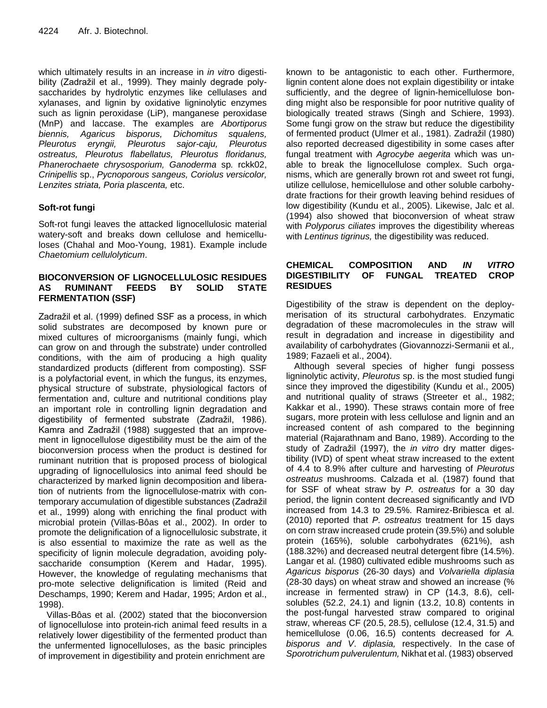which ultimately results in an increase in *in vitr*o digestibility (Zadražil et al., 1999). They mainly degrade polysaccharides by hydrolytic enzymes like cellulases and xylanases, and lignin by oxidative ligninolytic enzymes such as lignin peroxidase (LiP), manganese peroxidase (MnP) and laccase. The examples are *Abortiporus biennis, Agaricus bisporus, Dichomitus squalens, Pleurotus eryngii, Pleurotus sajor-caju, Pleurotus ostreatus, Pleurotus flabellatus, Pleurotus floridanus, Phanerochaete chrysosporium, Ganoderma* sp*.* rckk02, *Crinipellis* sp., *Pycnoporous sangeus, Coriolus versicolor, Lenzites striata, Poria plascenta,* etc.

#### **Soft-rot fungi**

Soft-rot fungi leaves the attacked lignocellulosic material watery-soft and breaks down cellulose and hemicelluloses (Chahal and Moo-Young, 1981). Example include *Chaetomium cellulolyticum*.

#### **BIOCONVERSION OF LIGNOCELLULOSIC RESIDUES AS RUMINANT FEEDS BY SOLID STATE FERMENTATION (SSF)**

Zadražil et al. (1999) defined SSF as a process, in which solid substrates are decomposed by known pure or mixed cultures of microorganisms (mainly fungi, which can grow on and through the substrate) under controlled conditions, with the aim of producing a high quality standardized products (different from composting). SSF is a polyfactorial event, in which the fungus, its enzymes, physical structure of substrate, physiological factors of fermentation and, culture and nutritional conditions play an important role in controlling lignin degradation and digestibility of fermented substrate (Zadražil, 1986). Kamra and Zadražil (1988) suggested that an improvement in lignocellulose digestibility must be the aim of the bioconversion process when the product is destined for ruminant nutrition that is proposed process of biological upgrading of lignocellulosics into animal feed should be characterized by marked lignin decomposition and liberation of nutrients from the lignocellulose-matrix with contemporary accumulation of digestible substances (Zadražil et al., 1999) along with enriching the final product with microbial protein (Villas-Bôas et al., 2002). In order to promote the delignification of a lignocellulosic substrate, it is also essential to maximize the rate as well as the specificity of lignin molecule degradation, avoiding polysaccharide consumption (Kerem and Hadar, 1995). However, the knowledge of regulating mechanisms that pro-mote selective delignification is limited (Reid and Deschamps, 1990; Kerem and Hadar, 1995; Ardon et al., 1998).

Villas-Bôas et al. (2002) stated that the bioconversion of lignocellulose into protein-rich animal feed results in a relatively lower digestibility of the fermented product than the unfermented lignocelluloses, as the basic principles of improvement in digestibility and protein enrichment are

known to be antagonistic to each other. Furthermore, lignin content alone does not explain digestibility or intake sufficiently, and the degree of lignin-hemicellulose bonding might also be responsible for poor nutritive quality of biologically treated straws (Singh and Schiere, 1993). Some fungi grow on the straw but reduce the digestibility of fermented product (Ulmer et al., 1981). Zadražil (1980) also reported decreased digestibility in some cases after fungal treatment with *Agrocybe aegerita* which was unable to break the lignocellulose complex. Such organisms, which are generally brown rot and sweet rot fungi, utilize cellulose, hemicellulose and other soluble carbohydrate fractions for their growth leaving behind residues of low digestibility (Kundu et al., 2005). Likewise, Jalc et al. (1994) also showed that bioconversion of wheat straw with *Polyporus ciliates* improves the digestibility whereas with *Lentinus tigrinus,* the digestibility was reduced.

#### **CHEMICAL COMPOSITION AND** *IN VITRO* **DIGESTIBILITY OF FUNGAL TREATED CROP RESIDUES**

Digestibility of the straw is dependent on the deploymerisation of its structural carbohydrates. Enzymatic degradation of these macromolecules in the straw will result in degradation and increase in digestibility and availability of carbohydrates (Giovannozzi-Sermanii et al*.,* 1989; Fazaeli et al., 2004).

Although several species of higher fungi possess ligninolytic activity, *Pleurotus* sp. is the most studied fungi since they improved the digestibility (Kundu et al., 2005) and nutritional quality of straws (Streeter et al., 1982; Kakkar et al., 1990). These straws contain more of free sugars, more protein with less cellulose and lignin and an increased content of ash compared to the beginning material (Rajarathnam and Bano, 1989). According to the study of Zadražil (1997), the *in vitro* dry matter digestibility (IVD) of spent wheat straw increased to the extent of 4.4 to 8.9% after culture and harvesting of *Pleurotus ostreatus* mushrooms. Calzada et al. (1987) found that for SSF of wheat straw by *P. ostreatus* for a 30 day period, the lignin content decreased significantly and IVD increased from 14.3 to 29.5%. Ramirez-Bribiesca et al. (2010) reported that *P. ostreatus* treatment for 15 days on corn straw increased crude protein (39.5%) and soluble protein (165%), soluble carbohydrates (621%), ash (188.32%) and decreased neutral detergent fibre (14.5%). Langar et al. (1980) cultivated edible mushrooms such as *Agaricus bisporus* (26-30 days) and *Volvariella diplasia* (28-30 days) on wheat straw and showed an increase (% increase in fermented straw) in CP (14.3, 8.6), cellsolubles (52.2, 24.1) and lignin (13.2, 10.8) contents in the post-fungal harvested straw compared to original straw, whereas CF (20.5, 28.5), cellulose (12.4, 31.5) and hemicellulose (0.06, 16.5) contents decreased for *A. bisporus and V*. *diplasia,* respectively. In the case of *Sporotrichum pulverulentum,* Nikhat et al. (1983) observed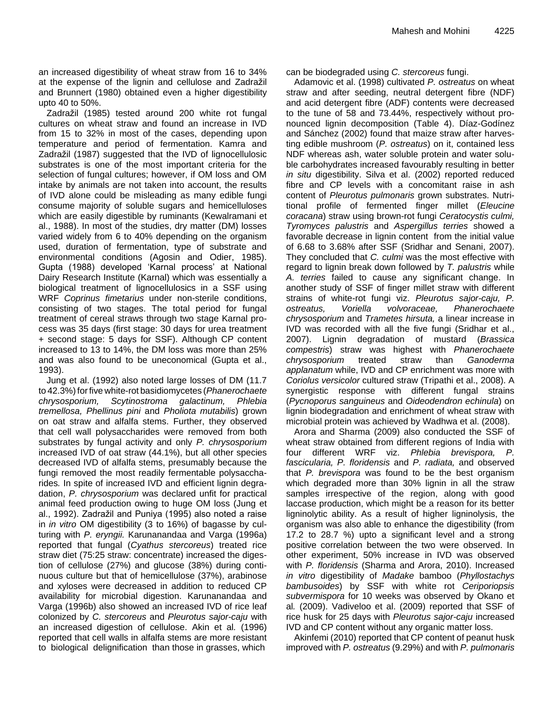an increased digestibility of wheat straw from 16 to 34% at the expense of the lignin and cellulose and Zadražil and Brunnert (1980) obtained even a higher digestibility upto 40 to 50%.

Zadražil (1985) tested around 200 white rot fungal cultures on wheat straw and found an increase in IVD from 15 to 32% in most of the cases, depending upon temperature and period of fermentation. Kamra and Zadražil (1987) suggested that the IVD of lignocellulosic substrates is one of the most important criteria for the selection of fungal cultures; however, if OM loss and OM intake by animals are not taken into account, the results of IVD alone could be misleading as many edible fungi consume majority of soluble sugars and hemicelluloses which are easily digestible by ruminants (Kewalramani et al., 1988). In most of the studies, dry matter (DM) losses varied widely from 6 to 40% depending on the organism used, duration of fermentation, type of substrate and environmental conditions (Agosin and Odier, 1985). Gupta (1988) developed 'Karnal process' at National Dairy Research Institute (Karnal) which was essentially a biological treatment of lignocellulosics in a SSF using WRF *Coprinus fimetarius* under non-sterile conditions, consisting of two stages. The total period for fungal treatment of cereal straws through two stage Karnal process was 35 days (first stage: 30 days for urea treatment + second stage: 5 days for SSF). Although CP content increased to 13 to 14%, the DM loss was more than 25% and was also found to be uneconomical (Gupta et al., 1993).

Jung et al. (1992) also noted large losses of DM (11.7 to 42.3%)forfive white-rot basidiomycetes (*Phanerochaete chrysosporium, Scytinostroma galactinum, Phlebia tremellosa, Phellinus pini* and *Pholiota mutabilis*) grown on oat straw and alfalfa stems. Further, they observed that cell wall polysaccharides were removed from both substrates by fungal activity and only *P. chrysosporium*  increased IVD of oat straw (44.1%), but all other species decreased IVD of alfalfa stems, presumably because the fungi removed the most readily fermentable polysaccharides*.* In spite of increased IVD and efficient lignin degradation, *P. chrysosporium* was declared unfit for practical animal feed production owing to huge OM loss (Jung et al., 1992). Zadražil and Puniya (1995) also noted a raise in *in vitro* OM digestibility (3 to 16%) of bagasse by culturing with *P. eryngii.* Karunanandaa and Varga (1996a) reported that fungal (*Cyathus stercoreus*) treated rice straw diet (75:25 straw: concentrate) increased the digestion of cellulose (27%) and glucose (38%) during continuous culture but that of hemicellulose (37%), arabinose and xyloses were decreased in addition to reduced CP availability for microbial digestion. Karunanandaa and Varga (1996b) also showed an increased IVD of rice leaf colonized by *C. stercoreus* and *Pleurotus sajor-caju* with an increased digestion of cellulose. Akin et al*.* (1996) reported that cell walls in alfalfa stems are more resistant to biological delignification than those in grasses, which

can be biodegraded using *C. stercoreus* fungi.

Adamovic et al. (1998) cultivated *P. ostreatus* on wheat straw and after seeding, neutral detergent fibre (NDF) and acid detergent fibre (ADF) contents were decreased to the tune of 58 and 73.44%, respectively without pronounced lignin decomposition (Table 4). Díaz-Godínez and Sánchez (2002) found that maize straw after harvesting edible mushroom (*P. ostreatus*) on it, contained less NDF whereas ash, water soluble protein and water soluble carbohydrates increased favourably resulting in better *in situ* digestibility. Silva et al. (2002) reported reduced fibre and CP levels with a concomitant raise in ash content of *Pleurotus pulmonaris* grown substrates. Nutritional profile of fermented finger millet (*Eleucine coracana*) straw using brown-rot fungi *Ceratocystis culmi, Tyromyces palustris* and *Aspergillus terries* showed a favorable decrease in lignin content from the initial value of 6.68 to 3.68% after SSF (Sridhar and Senani, 2007). They concluded that *C. culmi* was the most effective with regard to lignin break down followed by *T. palustris* while *A. terries* failed to cause any significant change. In another study of SSF of finger millet straw with different strains of white-rot fungi viz. *Pleurotus sajor-caju, P. ostreatus, Voriella volvoraceae, Phanerochaete chrysosporium* and *Trametes hirsuta,* a linear increase in IVD was recorded with all the five fungi (Sridhar et al., 2007). Lignin degradation of mustard (*Brassica compestris*) straw was highest with *Phanerochaete chrysosporium* treated straw than *Ganoderma applanatum* while, IVD and CP enrichment was more with *Coriolus versicolor* cultured straw (Tripathi et al., 2008). A synergistic response with different fungal strains (*Pycnoporus sanguineus* and *Oideodendron echinula*) on lignin biodegradation and enrichment of wheat straw with microbial protein was achieved by Wadhwa et al. (2008).

Arora and Sharma (2009) also conducted the SSF of wheat straw obtained from different regions of India with four different WRF viz. *Phlebia brevispora, P. fascicularia, P. floridensis* and *P. radiata,* and observed that *P. brevispora* was found to be the best organism which degraded more than 30% lignin in all the straw samples irrespective of the region, along with good laccase production, which might be a reason for its better ligninolytic ability. As a result of higher ligninolysis, the organism was also able to enhance the digestibility (from 17.2 to 28.7 %) upto a significant level and a strong positive correlation between the two were observed. In other experiment, 50% increase in IVD was observed with *P. floridensis* (Sharma and Arora, 2010). Increased *in vitro* digestibility of *Madake* bamboo (*Phyllostachys bambusoides*) by SSF with white rot *Ceriporiopsis subvermispora* for 10 weeks was observed by Okano et al*.* (2009). Vadiveloo et al. (2009) reported that SSF of rice husk for 25 days with *Pleurotus sajor-caju* increased IVD and CP content without any organic matter loss.

Akinfemi (2010) reported that CP content of peanut husk improved with *P. ostreatus* (9.29%) and with *P. pulmonaris*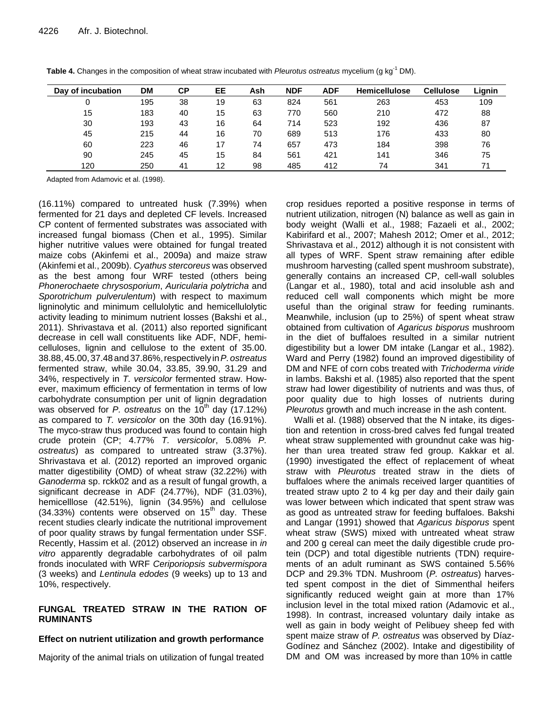| Day of incubation | <b>DM</b> | СP | EE | Ash | <b>NDF</b> | <b>ADF</b> | <b>Hemicellulose</b> | <b>Cellulose</b> | Lignin |
|-------------------|-----------|----|----|-----|------------|------------|----------------------|------------------|--------|
| 0                 | 195       | 38 | 19 | 63  | 824        | 561        | 263                  | 453              | 109    |
| 15                | 183       | 40 | 15 | 63  | 770        | 560        | 210                  | 472              | 88     |
| 30                | 193       | 43 | 16 | 64  | 714        | 523        | 192                  | 436              | 87     |
| 45                | 215       | 44 | 16 | 70  | 689        | 513        | 176                  | 433              | 80     |
| 60                | 223       | 46 | 17 | 74  | 657        | 473        | 184                  | 398              | 76     |
| 90                | 245       | 45 | 15 | 84  | 561        | 421        | 141                  | 346              | 75     |
| 120               | 250       | 41 | 12 | 98  | 485        | 412        | 74                   | 341              |        |

**Table 4.** Changes in the composition of wheat straw incubated with *Pleurotus ostreatus* mycelium (g kg-1 DM).

Adapted from Adamovic et al. (1998).

(16.11%) compared to untreated husk (7.39%) when fermented for 21 days and depleted CF levels. Increased CP content of fermented substrates was associated with increased fungal biomass (Chen et al., 1995). Similar higher nutritive values were obtained for fungal treated maize cobs (Akinfemi et al., 2009a) and maize straw (Akinfemi et al., 2009b). *Cyathus stercoreus* was observed as the best among four WRF tested (others being *Phonerochaete chrysosporium*, *Auricularia polytricha* and *Sporotrichum pulverulentum*) with respect to maximum ligninolytic and minimum cellulolytic and hemicellulolytic activity leading to minimum nutrient losses (Bakshi et al., 2011). Shrivastava et al. (2011) also reported significant decrease in cell wall constituents like ADF, NDF, hemicelluloses, lignin and cellulose to the extent of 35.00. 38.88,45.00,37.48and37.86%,respectively in*P.ostreatus* fermented straw, while 30.04, 33.85, 39.90, 31.29 and 34%, respectively in *T. versicolor* fermented straw. However, maximum efficiency of fermentation in terms of low carbohydrate consumption per unit of lignin degradation was observed for *P. ostreatus* on the  $10^{th}$  day  $(17.12\%)$ as compared to *T. versicolor* on the 30th day (16.91%). The myco-straw thus produced was found to contain high crude protein (CP; 4.77% *T. versicolor*, 5.08% *P. ostreatus*) as compared to untreated straw (3.37%). Shrivastava et al. (2012) reported an improved organic matter digestibility (OMD) of wheat straw (32.22%) with *Ganoderma* sp. rckk02 and as a result of fungal growth, a significant decrease in ADF (24.77%), NDF (31.03%), hemicelllose (42.51%), lignin (34.95%) and cellulose  $(34.33%)$  contents were observed on  $15<sup>th</sup>$  day. These recent studies clearly indicate the nutritional improvement of poor quality straws by fungal fermentation under SSF. Recently, Hassim et al. (2012) observed an increase in *in vitro* apparently degradable carbohydrates of oil palm fronds inoculated with WRF *Ceriporiopsis subvermispora* (3 weeks) and *Lentinula edodes* (9 weeks) up to 13 and 10%, respectively.

#### **FUNGAL TREATED STRAW IN THE RATION OF RUMINANTS**

#### **Effect on nutrient utilization and growth performance**

Majority of the animal trials on utilization of fungal treated

crop residues reported a positive response in terms of nutrient utilization, nitrogen (N) balance as well as gain in body weight (Walli et al., 1988; Fazaeli et al., 2002; Kabirifard et al., 2007; Mahesh 2012; Omer et al., 2012; Shrivastava et al., 2012) although it is not consistent with all types of WRF. Spent straw remaining after edible mushroom harvesting (called spent mushroom substrate), generally contains an increased CP, cell-wall solubles (Langar et al., 1980), total and acid insoluble ash and reduced cell wall components which might be more useful than the original straw for feeding ruminants. Meanwhile, inclusion (up to 25%) of spent wheat straw obtained from cultivation of *Agaricus bisporus* mushroom in the diet of buffaloes resulted in a similar nutrient digestibility but a lower DM intake (Langar et al., 1982). Ward and Perry (1982) found an improved digestibility of DM and NFE of corn cobs treated with *Trichoderma viride* in lambs. Bakshi et al. (1985) also reported that the spent straw had lower digestibility of nutrients and was thus, of poor quality due to high losses of nutrients during *Pleurotus* growth and much increase in the ash content.

Walli et al. (1988) observed that the N intake, its digestion and retention in cross-bred calves fed fungal treated wheat straw supplemented with groundnut cake was higher than urea treated straw fed group. Kakkar et al. (1990) investigated the effect of replacement of wheat straw with *Pleurotus* treated straw in the diets of buffaloes where the animals received larger quantities of treated straw upto 2 to 4 kg per day and their daily gain was lower between which indicated that spent straw was as good as untreated straw for feeding buffaloes. Bakshi and Langar (1991) showed that *Agaricus bisporus* spent wheat straw (SWS) mixed with untreated wheat straw and 200 g cereal can meet the daily digestible crude protein (DCP) and total digestible nutrients (TDN) requirements of an adult ruminant as SWS contained 5.56% DCP and 29.3% TDN. Mushroom (*P. ostreatus*) harvested spent compost in the diet of Simmenthal heifers significantly reduced weight gain at more than 17% inclusion level in the total mixed ration (Adamovic et al., 1998). In contrast, increased voluntary daily intake as well as gain in body weight of Pelibuey sheep fed with spent maize straw of *P. ostreatus* was observed by Díaz-Godínez and Sánchez (2002). Intake and digestibility of DM and OM was increased by more than 10% in cattle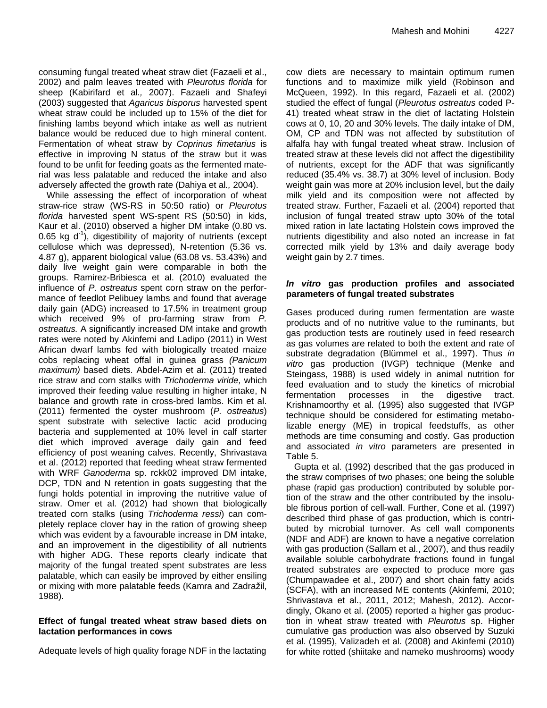consuming fungal treated wheat straw diet (Fazaeli et al., 2002) and palm leaves treated with *Pleurotus florida* for sheep (Kabirifard et al*.,* 2007). Fazaeli and Shafeyi (2003) suggested that *Agaricus bisporus* harvested spent wheat straw could be included up to 15% of the diet for finishing lambs beyond which intake as well as nutrient balance would be reduced due to high mineral content. Fermentation of wheat straw by *Coprinus fimetarius* is effective in improving N status of the straw but it was found to be unfit for feeding goats as the fermented material was less palatable and reduced the intake and also adversely affected the growth rate (Dahiya et al*.,* 2004).

While assessing the effect of incorporation of wheat straw-rice straw (WS-RS in 50:50 ratio) or *Pleurotus florida* harvested spent WS-spent RS (50:50) in kids, Kaur et al. (2010) observed a higher DM intake (0.80 vs. 0.65 kg d<sup>-1</sup>), digestibility of majority of nutrients (except cellulose which was depressed), N-retention (5.36 vs. 4.87 g), apparent biological value (63.08 vs. 53.43%) and daily live weight gain were comparable in both the groups. Ramirez-Bribiesca et al. (2010) evaluated the influence of *P. ostreatus* spent corn straw on the performance of feedlot Pelibuey lambs and found that average daily gain (ADG) increased to 17.5% in treatment group which received 9% of pro-farming straw from *P. ostreatus.* A significantly increased DM intake and growth rates were noted by Akinfemi and Ladipo (2011) in West African dwarf lambs fed with biologically treated maize cobs replacing wheat offal in guinea grass *(Panicum maximum)* based diets. Abdel-Azim et al. (2011) treated rice straw and corn stalks with *Trichoderma viride,* which improved their feeding value resulting in higher intake, N balance and growth rate in cross-bred lambs. Kim et al. (2011) fermented the oyster mushroom (*P. ostreatus*) spent substrate with selective lactic acid producing bacteria and supplemented at 10% level in calf starter diet which improved average daily gain and feed efficiency of post weaning calves. Recently, Shrivastava et al. (2012) reported that feeding wheat straw fermented with WRF *Ganoderma* sp. rckk02 improved DM intake, DCP, TDN and N retention in goats suggesting that the fungi holds potential in improving the nutritive value of straw. Omer et al. (2012) had shown that biologically treated corn stalks (using *Trichoderma ressi*) can completely replace clover hay in the ration of growing sheep which was evident by a favourable increase in DM intake, and an improvement in the digestibility of all nutrients with higher ADG. These reports clearly indicate that majority of the fungal treated spent substrates are less palatable, which can easily be improved by either ensiling or mixing with more palatable feeds (Kamra and Zadražil, 1988).

#### **Effect of fungal treated wheat straw based diets on lactation performances in cows**

Adequate levels of high quality forage NDF in the lactating

cow diets are necessary to maintain optimum rumen functions and to maximize milk yield (Robinson and McQueen, 1992). In this regard, Fazaeli et al. (2002) studied the effect of fungal (*Pleurotus ostreatus* coded P-41) treated wheat straw in the diet of lactating Holstein cows at 0, 10, 20 and 30% levels. The daily intake of DM, OM, CP and TDN was not affected by substitution of alfalfa hay with fungal treated wheat straw. Inclusion of treated straw at these levels did not affect the digestibility of nutrients, except for the ADF that was significantly reduced (35.4% vs. 38.7) at 30% level of inclusion. Body weight gain was more at 20% inclusion level, but the daily milk yield and its composition were not affected by treated straw. Further, Fazaeli et al. (2004) reported that inclusion of fungal treated straw upto 30% of the total mixed ration in late lactating Holstein cows improved the nutrients digestibility and also noted an increase in fat corrected milk yield by 13% and daily average body weight gain by 2.7 times.

#### *In vitro* **gas production profiles and associated parameters of fungal treated substrates**

Gases produced during rumen fermentation are waste products and of no nutritive value to the ruminants, but gas production tests are routinely used in feed research as gas volumes are related to both the extent and rate of substrate degradation (Blümmel et al., 1997). Thus *in vitro* gas production (IVGP) technique (Menke and Steingass, 1988) is used widely in animal nutrition for feed evaluation and to study the kinetics of microbial fermentation processes in the digestive tract. Krishnamoorthy et al. (1995) also suggested that IVGP technique should be considered for estimating metabolizable energy (ME) in tropical feedstuffs, as other methods are time consuming and costly. Gas production and associated *in vitro* parameters are presented in Table 5.

Gupta et al. (1992) described that the gas produced in the straw comprises of two phases; one being the soluble phase (rapid gas production) contributed by soluble portion of the straw and the other contributed by the insoluble fibrous portion of cell-wall. Further, Cone et al. (1997) described third phase of gas production, which is contributed by microbial turnover. As cell wall components (NDF and ADF) are known to have a negative correlation with gas production (Sallam et al., 2007), and thus readily available soluble carbohydrate fractions found in fungal treated substrates are expected to produce more gas (Chumpawadee et al., 2007) and short chain fatty acids (SCFA), with an increased ME contents (Akinfemi, 2010; Shrivastava et al., 2011, 2012; Mahesh, 2012). Accordingly, Okano et al. (2005) reported a higher gas production in wheat straw treated with *Pleurotus* sp. Higher cumulative gas production was also observed by Suzuki et al. (1995), Valizadeh et al. (2008) and Akinfemi (2010) for white rotted (shiitake and nameko mushrooms) woody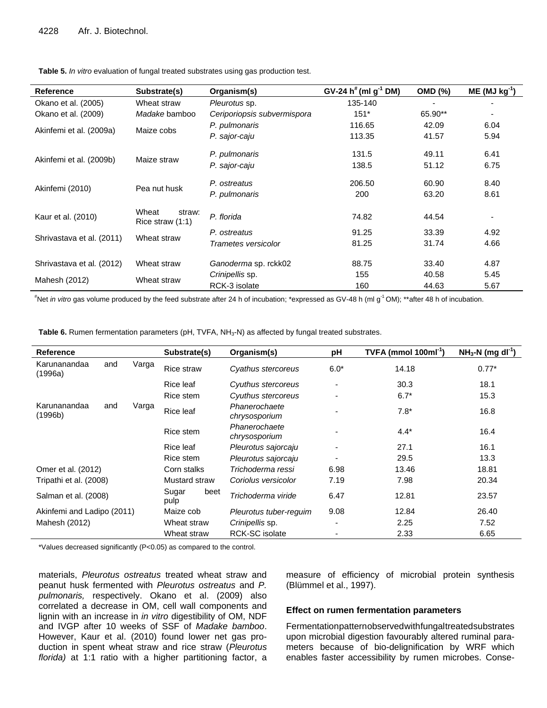| <b>Reference</b>          | Substrate(s)                        | Organism(s)                 | GV-24 $h^*(mI)g^{-1}$ DM) | <b>OMD (%)</b> | $ME (MJ kg-1)$ |
|---------------------------|-------------------------------------|-----------------------------|---------------------------|----------------|----------------|
| Okano et al. (2005)       | Wheat straw                         | Pleurotus sp.               | 135-140                   |                |                |
| Okano et al. (2009)       | Madake bamboo                       | Ceriporiopsis subvermispora | $151*$                    | 65.90**        |                |
|                           | Maize cobs                          | P. pulmonaris               | 116.65                    | 42.09          | 6.04           |
| Akinfemi et al. (2009a)   |                                     | P. sajor-caju               | 113.35                    | 41.57          | 5.94           |
|                           | Maize straw                         | P. pulmonaris               | 131.5                     | 49.11          | 6.41           |
| Akinfemi et al. (2009b)   |                                     | P. sajor-caju               | 138.5                     | 51.12          | 6.75           |
|                           | Pea nut husk                        | P. ostreatus                | 206.50                    | 60.90          | 8.40           |
| Akinfemi (2010)           |                                     | P. pulmonaris               | 200                       | 63.20          | 8.61           |
| Kaur et al. (2010)        | Wheat<br>straw:<br>Rice straw (1:1) | P. florida                  | 74.82                     | 44.54          |                |
| Shrivastava et al. (2011) | Wheat straw                         | P. ostreatus                | 91.25                     | 33.39          | 4.92           |
|                           |                                     | Trametes versicolor         | 81.25                     | 31.74          | 4.66           |
| Shrivastava et al. (2012) | Wheat straw                         | Ganoderma sp. rckk02        | 88.75                     | 33.40          | 4.87           |
|                           |                                     | Crinipellis sp.             | 155                       | 40.58          | 5.45           |
| Mahesh (2012)             | Wheat straw                         | RCK-3 isolate               | 160                       | 44.63          | 5.67           |

**Table 5.** *In vitro* evaluation of fungal treated substrates using gas production test.

#Net *in vitro* gas volume produced by the feed substrate after 24 h of incubation; \*expressed as GV-48 h (ml g -1 OM); \*\*after 48 h of incubation.

**Table 6.** Rumen fermentation parameters (pH, TVFA, NH<sub>3</sub>-N) as affected by fungal treated substrates.

| Reference                  |              |               | Substrate(s) |                        | Organism(s)                    | рH             | TVFA (mmol $100ml^{-1}$ ) | $NH3-N$ (mg dl <sup>-1</sup> ) |
|----------------------------|--------------|---------------|--------------|------------------------|--------------------------------|----------------|---------------------------|--------------------------------|
| Karunanandaa<br>(1996a)    | and          | Varga         | Rice straw   |                        | Cyathus stercoreus             | $6.0*$         | 14.18                     | $0.77*$                        |
|                            |              |               | Rice leaf    |                        | Cyuthus stercoreus             | $\blacksquare$ | 30.3                      | 18.1                           |
|                            |              |               | Rice stem    |                        | Cyuthus stercoreus             |                | $6.7*$                    | 15.3                           |
| Karunanandaa<br>(1996b)    | Varga<br>and |               | Rice leaf    |                        | Phanerochaete<br>chrysosporium |                | $7.8*$                    | 16.8                           |
|                            |              |               | Rice stem    |                        | Phanerochaete<br>chrysosporium |                | $4.4*$                    | 16.4                           |
|                            |              |               | Rice leaf    |                        | Pleurotus sajorcaju            |                | 27.1                      | 16.1                           |
|                            |              |               | Rice stem    |                        | Pleurotus sajorcaju            |                | 29.5                      | 13.3                           |
| Omer et al. (2012)         |              |               | Corn stalks  |                        | Trichoderma ressi              | 6.98           | 13.46                     | 18.81                          |
| Tripathi et al. (2008)     |              | Mustard straw |              | Coriolus versicolor    | 7.19                           | 7.98           | 20.34                     |                                |
| Salman et al. (2008)       |              | Sugar<br>pulp | beet         | Trichoderma viride     | 6.47                           | 12.81          | 23.57                     |                                |
| Akinfemi and Ladipo (2011) |              | Maize cob     |              | Pleurotus tuber-reguim | 9.08                           | 12.84          | 26.40                     |                                |
| Mahesh (2012)              |              | Wheat straw   |              | Crinipellis sp.        | $\overline{\phantom{a}}$       | 2.25           | 7.52                      |                                |
|                            |              |               | Wheat straw  |                        | <b>RCK-SC</b> isolate          |                | 2.33                      | 6.65                           |

\*Values decreased significantly (P<0.05) as compared to the control.

materials, *Pleurotus ostreatus* treated wheat straw and peanut husk fermented with *Pleurotus ostreatus* and *P. pulmonaris,* respectively. Okano et al. (2009) also correlated a decrease in OM, cell wall components and lignin with an increase in *in vitro* digestibility of OM, NDF and IVGP after 10 weeks of SSF of *Madake bamboo*. However, Kaur et al. (2010) found lower net gas production in spent wheat straw and rice straw (*Pleurotus florida)* at 1:1 ratio with a higher partitioning factor, a measure of efficiency of microbial protein synthesis (Blümmel et al., 1997).

#### **Effect on rumen fermentation parameters**

Fermentationpatternobservedwithfungaltreatedsubstrates upon microbial digestion favourably altered ruminal parameters because of bio-delignification by WRF which enables faster accessibility by rumen microbes. Conse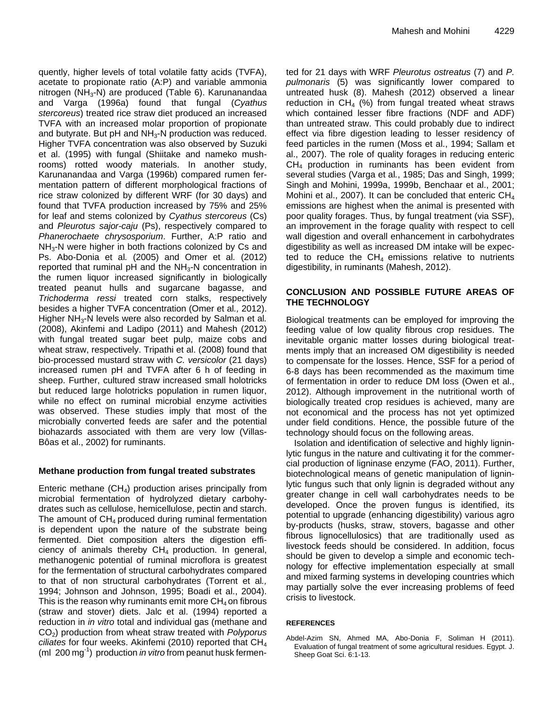quently, higher levels of total volatile fatty acids (TVFA), acetate to propionate ratio (A:P) and variable ammonia nitrogen (NH<sub>3</sub>-N) are produced (Table 6). Karunanandaa and Varga (1996a) found that fungal (*Cyathus stercoreus*) treated rice straw diet produced an increased TVFA with an increased molar proportion of propionate and butyrate. But pH and  $NH<sub>3</sub>$ -N production was reduced. Higher TVFA concentration was also observed by Suzuki et al. (1995) with fungal (Shiitake and nameko mushrooms) rotted woody materials. In another study, Karunanandaa and Varga (1996b) compared rumen fermentation pattern of different morphological fractions of rice straw colonized by different WRF (for 30 days) and found that TVFA production increased by 75% and 25% for leaf and stems colonized by *Cyathus stercoreus* (Cs) and *Pleurotus sajor-caju* (Ps), respectively compared to *Phanerochaete chrysosporium*. Further, A:P ratio and NH<sub>3</sub>-N were higher in both fractions colonized by Cs and Ps. Abo-Donia et al*.* (2005) and Omer et al*.* (2012) reported that ruminal pH and the  $NH<sub>3</sub>-N$  concentration in the rumen liquor increased significantly in biologically treated peanut hulls and sugarcane bagasse, and *Trichoderma ressi* treated corn stalks, respectively besides a higher TVFA concentration (Omer et al*.,* 2012). Higher NH3-N levels were also recorded by Salman et al*.* (2008), Akinfemi and Ladipo (2011) and Mahesh (2012) with fungal treated sugar beet pulp, maize cobs and wheat straw, respectively. Tripathi et al. (2008) found that bio-processed mustard straw with *C. versicolor* (21 days) increased rumen pH and TVFA after 6 h of feeding in sheep. Further, cultured straw increased small holotricks but reduced large holotricks population in rumen liquor, while no effect on ruminal microbial enzyme activities was observed. These studies imply that most of the microbially converted feeds are safer and the potential biohazards associated with them are very low (Villas-Bôas et al., 2002) for ruminants.

#### **Methane production from fungal treated substrates**

Enteric methane  $(CH<sub>4</sub>)$  production arises principally from microbial fermentation of hydrolyzed dietary carbohydrates such as cellulose, hemicellulose, pectin and starch. The amount of  $CH_4$  produced during ruminal fermentation is dependent upon the nature of the substrate being fermented. Diet composition alters the digestion efficiency of animals thereby  $CH_4$  production. In general, methanogenic potential of ruminal microflora is greatest for the fermentation of structural carbohydrates compared to that of non structural carbohydrates (Torrent et al*.,* 1994; Johnson and Johnson, 1995; Boadi et al., 2004). This is the reason why ruminants emit more  $CH_4$  on fibrous (straw and stover) diets. Jalc et al. (1994) reported a reduction in *in vitro* total and individual gas (methane and CO2) production from wheat straw treated with *Polyporus ciliates* for four weeks. Akinfemi (2010) reported that CH<sup>4</sup> (ml 200 mg-1 ) production *in vitro* from peanut husk fermented for 21 days with WRF *Pleurotus ostreatus* (7) and *P. pulmonaris* (5) was significantly lower compared to untreated husk (8). Mahesh (2012) observed a linear reduction in  $CH_4$  (%) from fungal treated wheat straws which contained lesser fibre fractions (NDF and ADF) than untreated straw. This could probably due to indirect effect via fibre digestion leading to lesser residency of feed particles in the rumen (Moss et al., 1994; Sallam et al., 2007). The role of quality forages in reducing enteric  $CH<sub>4</sub>$  production in ruminants has been evident from several studies (Varga et al*.*, 1985; Das and Singh, 1999; Singh and Mohini, 1999a, 1999b, Benchaar et al., 2001; Mohini et al., 2007). It can be concluded that enteric  $CH<sub>4</sub>$ emissions are highest when the animal is presented with poor quality forages. Thus, by fungal treatment (via SSF), an improvement in the forage quality with respect to cell wall digestion and overall enhancement in carbohydrates digestibility as well as increased DM intake will be expected to reduce the  $CH<sub>4</sub>$  emissions relative to nutrients digestibility, in ruminants (Mahesh, 2012).

#### **CONCLUSION AND POSSIBLE FUTURE AREAS OF THE TECHNOLOGY**

Biological treatments can be employed for improving the feeding value of low quality fibrous crop residues. The inevitable organic matter losses during biological treatments imply that an increased OM digestibility is needed to compensate for the losses. Hence, SSF for a period of 6-8 days has been recommended as the maximum time of fermentation in order to reduce DM loss (Owen et al., 2012). Although improvement in the nutritional worth of biologically treated crop residues is achieved, many are not economical and the process has not yet optimized under field conditions. Hence, the possible future of the technology should focus on the following areas.

Isolation and identification of selective and highly ligninlytic fungus in the nature and cultivating it for the commercial production of ligninase enzyme (FAO, 2011). Further, biotechnological means of genetic manipulation of ligninlytic fungus such that only lignin is degraded without any greater change in cell wall carbohydrates needs to be developed. Once the proven fungus is identified, its potential to upgrade (enhancing digestibility) various agro by-products (husks, straw, stovers, bagasse and other fibrous lignocellulosics) that are traditionally used as livestock feeds should be considered. In addition, focus should be given to develop a simple and economic technology for effective implementation especially at small and mixed farming systems in developing countries which may partially solve the ever increasing problems of feed crisis to livestock.

#### **REFERENCES**

Abdel-Azim SN, Ahmed MA, Abo-Donia F, Soliman H (2011). Evaluation of fungal treatment of some agricultural residues. Egypt. J. Sheep Goat Sci. 6:1-13.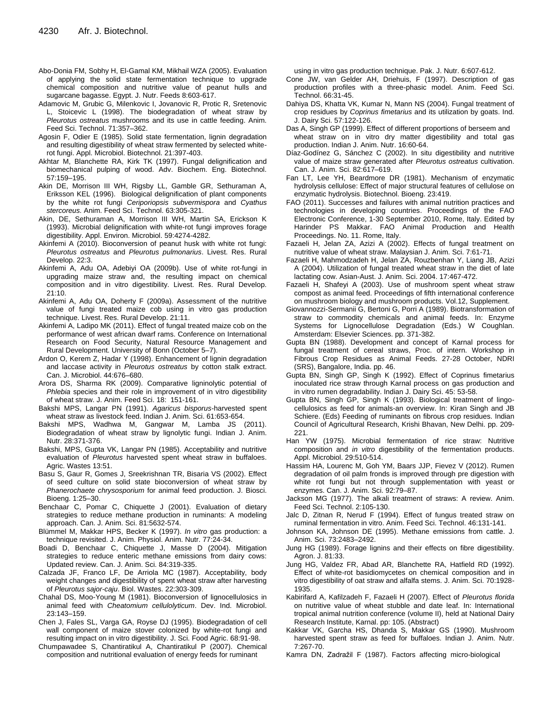- Abo-Donia FM, Sobhy H, El-Gamal KM, Mikhail WZA (2005). Evaluation of applying the solid state fermentation technique to upgrade chemical composition and nutritive value of peanut hulls and sugarcane bagasse. Egypt. J. Nutr. Feeds 8:603-617.
- Adamovic M, Grubic G, Milenkovic I, Jovanovic R, Protic R, Sretenovic L, Stoicevic L (1998). The biodegradation of wheat straw by *Pleurotus ostreatus* mushrooms and its use in cattle feeding. Anim. Feed Sci. Technol. 71:357–362.
- Agosin F, Odier E (1985). Solid state fermentation, lignin degradation and resulting digestibility of wheat straw fermented by selected whiterot fungi. Appl. Microbiol. Biotechnol. 21:397-403.
- Akhtar M, Blanchette RA, Kirk TK (1997). Fungal delignification and biomechanical pulping of wood. Adv. Biochem. Eng. Biotechnol. 57:159–195.
- Akin DE, Morrison III WH, Rigsby LL, Gamble GR, Sethuraman A, Eriksson KEL (1996). Biological delignification of plant components by the white rot fungi *Ceriporiopsis subvermispora* and *Cyathus stercoreus.* Anim. Feed Sci. Technol. 63:305-321.
- Akin, DE, Sethuraman A, Morrison III WH, Martin SA, Erickson K (1993). Microbial delignification with white-rot fungi improves forage digestibility. Appl. Environ. Microbiol. 59:4274-4282.
- Akinfemi A (2010). Bioconversion of peanut husk with white rot fungi: *Pleurotus ostreatus* and *Pleurotus pulmonarius*. Livest. Res. Rural Develop. 22:3.
- Akinfemi A, Adu OA, Adebiyi OA (2009b). Use of white rot-fungi in upgrading maize straw and, the resulting impact on chemical composition and in vitro digestibility. Livest. Res. Rural Develop. 21:10.
- Akinfemi A, Adu OA, Doherty F (2009a). Assessment of the nutritive value of fungi treated maize cob using in vitro gas production technique. Livest. Res. Rural Develop. 21:11.
- Akinfemi A, Ladipo MK (2011). Effect of fungal treated maize cob on the performance of west african dwarf rams. Conference on International Research on Food Security, Natural Resource Management and Rural Development. University of Bonn (October 5–7).
- Ardon O, Kerem Z, Hadar Y (1998). Enhancement of lignin degradation and laccase activity in *Pleurotus ostreatus* by cotton stalk extract. Can. J. Microbiol. 44:676–680.
- Arora DS, Sharma RK (2009). Comparative ligninolytic potential of *Phlebia* species and their role in improvement of in vitro digestibility of wheat straw. J. Anim. Feed Sci. 18: 151-161.
- Bakshi MPS, Langar PN (1991). *Agaricus bisporus*-harvested spent wheat straw as livestock feed. Indian J. Anim. Sci. 61:653-654.
- Bakshi MPS, Wadhwa M, Gangwar M, Lamba JS (2011). Biodegradation of wheat straw by lignolytic fungi. Indian J. Anim. Nutr. 28:371-376.
- Bakshi, MPS, Gupta VK, Langar PN (1985). Acceptability and nutritive evaluation of *Pleurotus* harvested spent wheat straw in buffaloes. Agric. Wastes 13:51.
- Basu S, Gaur R, Gomes J, Sreekrishnan TR, Bisaria VS (2002). Effect of seed culture on solid state bioconversion of wheat straw by *Phanerochaete chrysosporium* for animal feed production. J. Biosci. Bioeng. 1:25–30.
- Benchaar C, Pomar C, Chiquette J (2001). Evaluation of dietary strategies to reduce methane production in ruminants: A modeling approach. Can. J. Anim. Sci. 81:5632-574.
- Blümmel M, Makkar HPS, Becker K (1997). *In vitro* gas production: a technique revisited. J. Anim. Physiol. Anim. Nutr. 77:24-34.
- Boadi D, Benchaar C, Chiquette J, Masse D (2004). Mitigation strategies to reduce enteric methane emissions from dairy cows: Updated review. Can. J. Anim. Sci. 84:319-335.
- Calzada JF, Franco LF, De Arriola MC (1987). Acceptability, body weight changes and digestibility of spent wheat straw after harvesting of *Pleurotus sajor-caju*. Biol. Wastes. 22:303-309.
- Chahal DS, Moo-Young M (1981). Bioconversion of lignocellulosics in animal feed with *Cheatomium cellulolyticum*. Dev. Ind. Microbiol. 23:143–159.
- Chen J, Fales SL, Varga GA, Royse DJ (1995). Biodegradation of cell wall component of maize stover colonized by white-rot fungi and resulting impact on in vitro digestibility. J. Sci. Food Agric. 68:91-98.
- Chumpawadee S, Chantiratikul A, Chantiratikul P (2007). Chemical composition and nutritional evaluation of energy feeds for ruminant

using in vitro gas production technique. Pak. J. Nutr. 6:607-612.

- Cone JW, van Gelder AH, Driehuis, F (1997). Description of gas production profiles with a three-phasic model. Anim. Feed Sci. Technol. 66:31-45.
- Dahiya DS, Khatta VK, Kumar N, Mann NS (2004). Fungal treatment of crop residues by *Coprinus fimetarius* and its utilization by goats. Ind. J. Dairy Sci. 57:122-126.
- Das A, Singh GP (1999). Effect of different proportions of berseem and wheat straw on in vitro dry matter digestibility and total gas production. Indian J. Anim. Nutr. 16:60-64.
- Díaz-Godínez G, Sánchez C (2002). In situ digestibility and nutritive value of maize straw generated after *Pleurotus ostreatus* cultivation. Can. J. Anim. Sci. 82:617–619.
- Fan LT, Lee YH, Beardmore DR (1981). Mechanism of enzymatic hydrolysis cellulose: Effect of major structural features of cellulose on enzymatic hydrolysis. Biotechnol. Bioeng. 23:419.
- FAO (2011). Successes and failures with animal nutrition practices and technologies in developing countries. Proceedings of the FAO Electronic Conference, 1-30 September 2010, Rome, Italy. Edited by Harinder PS Makkar. FAO Animal Production and Health Proceedings. No. 11. Rome, Italy.
- Fazaeli H, Jelan ZA, Azizi A (2002). Effects of fungal treatment on nutritive value of wheat straw. Malaysian J. Anim. Sci. 7:61-71.
- Fazaeli H, Mahmodzadeh H, Jelan ZA, Rouzbenhan Y, Liang JB, Azizi A (2004). Utilization of fungal treated wheat straw in the diet of late lactating cow. Asian-Aust. J. Anim. Sci. 2004. 17:467-472.
- Fazaeli H, Shafeyi A (2003). Use of mushroom spent wheat straw compost as animal feed. Proceedings of fifth international conference on mushroom biology and mushroom products. Vol.12, Supplement.
- Giovannozzi-Sermanii G, Bertoni G, Porri A (1989). Biotransformation of straw to commodity chemicals and animal feeds. In: Enzyme Systems for Lignocellulose Degradation (Eds.) W Coughlan. Amsterdam: Elsevier Sciences. pp. 371-382.
- Gupta BN (1988). Development and concept of Karnal process for fungal treatment of cereal straws, Proc. of intern. Workshop in Fibrous Crop Residues as Animal Feeds. 27-28 October, NDRI (SRS), Bangalore, India. pp. 46.
- Gupta BN, Singh GP, Singh K (1992). Effect of Coprinus fimetarius inoculated rice straw through Karnal process on gas production and in vitro rumen degradability. Indian J. Dairy Sci. 45: 53-58.
- Gupta BN, Singh GP, Singh K (1993). Biological treatment of lingocellulosics as feed for animals-an overview. In: Kiran Singh and JB Schiere. (Eds) Feeding of ruminants on fibrous crop residues. Indian Council of Agricultural Research, Krishi Bhavan, New Delhi. pp. 209- 221.
- Han YW (1975). Microbial fermentation of rice straw: Nutritive composition and *in vitro* digestibility of the fermentation products. Appl. Microbiol. 29:510-514.
- Hassim HA, Lourenc M, Goh YM, Baars JJP, Fievez V (2012). Rumen degradation of oil palm fronds is improved through pre digestion with white rot fungi but not through supplementation with yeast or enzymes. Can. J. Anim. Sci. 92:79–87.
- Jackson MG (1977). The alkali treatment of straws: A review. Anim. Feed Sci. Technol. 2:105-130.
- Jalc D, Zitnan R, Nerud F (1994). Effect of fungus treated straw on ruminal fermentation in vitro. Anim. Feed Sci. Technol. 46:131-141.
- Johnson KA, Johnson DE (1995). Methane emissions from cattle. J. Anim. Sci. 73:2483–2492.
- Jung HG (1989). Forage lignins and their effects on fibre digestibility. Agron. J. 81:33.
- Jung HG, Valdez FR, Abad AR, Blanchette RA, Hatfield RD (1992). Effect of white-rot basidiomycetes on chemical composition and in vitro digestibility of oat straw and alfalfa stems. J. Anim. Sci. 70:1928- 1935.
- Kabirifard A, Kafilzadeh F, Fazaeli H (2007). Effect of *Pleurotus florida* on nutritive value of wheat stubble and date leaf. In: International tropical animal nutrition conference (volume II), held at National Dairy Research Institute, Karnal. pp: 105. (Abstract)
- Kakkar VK, Garcha HS, Dhanda S, Makkar GS (1990). Mushroom harvested spent straw as feed for buffaloes. Indian J. Anim. Nutr. 7:267-70.
- Kamra DN, Zadražil F (1987). Factors affecting micro-biological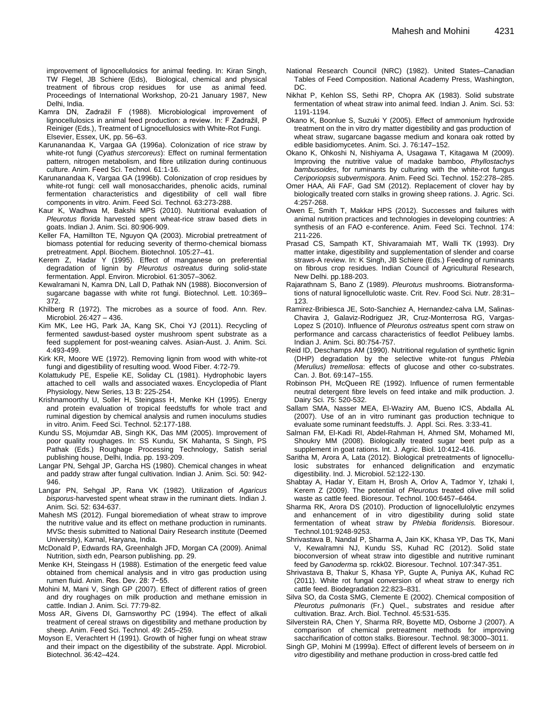improvement of lignocellulosics for animal feeding. In: Kiran Singh, TW Flegel, JB Schiere (Eds), Biological, chemical and physical treatment of fibrous crop residues for use as animal feed. Proceedings of International Workshop, 20-21 January 1987, New Delhi, India.

- Kamra DN, Zadražil F (1988). Microbiological improvement of lignocellulosics in animal feed production: a review. In: F Zadražil, P Reiniger (Eds.), Treatment of Lignocellulosics with White-Rot Fungi. Elsevier, Essex, UK, pp. 56–63.
- Karunanandaa K, Vargaa GA (1996a). Colonization of rice straw by white-rot fungi (*Cyathus stercoreus*): Effect on ruminal fermentation pattern, nitrogen metabolism, and fibre utilization during continuous culture. Anim. Feed Sci. Technol*.* 61:1-16.
- Karunanandaa K, Vargaa GA (1996b). Colonization of crop residues by white-rot fungi: cell wall monosaccharides, phenolic acids, ruminal fermentation characteristics and digestibility of cell wall fibre components in vitro. Anim. Feed Sci. Technol*.* 63:273-288.
- Kaur K, Wadhwa M, Bakshi MPS (2010). Nutritional evaluation of *Pleurotus florida* harvested spent wheat-rice straw based diets in goats. Indian J. Anim. Sci. 80:906-909.
- Keller FA, Hamillton TE, Nguyon QA (2003). Microbial pretreatment of biomass potential for reducing severity of thermo-chemical biomass pretreatment. Appl. Biochem. Biotechnol. 105:27–41.
- Kerem Z, Hadar Y (1995). Effect of manganese on preferential degradation of lignin by *Pleurotus ostreatus* during solid-state fermentation. Appl. Environ. Microbiol. 61:3057–3062.
- Kewalramani N, Kamra DN, Lall D, Pathak NN (1988). Bioconversion of sugarcane bagasse with white rot fungi. Biotechnol. Lett. 10:369– 372.
- Khilberg R (1972). The microbes as a source of food. Ann. Rev. Microbiol. 26:427 – 436.
- Kim MK, Lee HG, Park JA, Kang SK, Choi YJ (2011). Recycling of fermented sawdust-based oyster mushroom spent substrate as a feed supplement for post-weaning calves. Asian-Aust. J. Anim. Sci. 4:493-499.
- Kirk KR, Moore WE (1972). Removing lignin from wood with white-rot fungi and digestibility of resulting wood. Wood Fiber. 4:72-79.
- Kolattukudy PE, Espelie KE, Soliday CL (1981). Hydrophobic layers attached to cell walls and associated waxes. Encyclopedia of Plant Physiology, New Series, 13 B: 225-254.
- Krishnamoorthy U, Soller H, Steingass H, Menke KH (1995). Energy and protein evaluation of tropical feedstuffs for whole tract and ruminal digestion by chemical analysis and rumen inoculums studies in vitro. Anim. Feed Sci. Technol. 52:177-188.
- Kundu SS, Mojumdar AB, Singh KK, Das MM (2005). Improvement of poor quality roughages. In: SS Kundu, SK Mahanta, S Singh, PS Pathak (Eds.) Roughage Processing Technology, Satish serial publishing house, Delhi, India. pp. 193-209.
- Langar PN, Sehgal JP, Garcha HS (1980). Chemical changes in wheat and paddy straw after fungal cultivation. Indian J. Anim. Sci. 50: 942- 946.
- Langar PN, Sehgal JP, Rana VK (1982). Utilization of *Agaricus bisporus*-harvested spent wheat straw in the ruminant diets. Indian J. Anim. Sci. 52: 634-637.
- Mahesh MS (2012). Fungal bioremediation of wheat straw to improve the nutritive value and its effect on methane production in ruminants. MVSc thesis submitted to National Dairy Research institute (Deemed University), Karnal, Haryana, India.
- McDonald P, Edwards RA, Greenhalgh JFD, Morgan CA (2009). Animal Nutrition, sixth edn, Pearson publishing. pp. 29.
- Menke KH, Steingass H (1988). Estimation of the energetic feed value obtained from chemical analysis and in vitro gas production using rumen fluid. Anim. Res. Dev. 28: 7−55.
- Mohini M, Mani V, Singh GP (2007). Effect of different ratios of green and dry roughages on milk production and methane emission in cattle. Indian J. Anim. Sci. 77:79-82.
- Moss AR, Givens DI, Garnsworthy PC (1994). The effect of alkali treatment of cereal straws on digestibility and methane production by sheep. Anim. Feed Sci. Technol. 49: 245–259.
- Moyson E, Verachtert H (1991). Growth of higher fungi on wheat straw and their impact on the digestibility of the substrate. Appl. Microbiol. Biotechnol. 36:42–424.
- National Research Council (NRC) (1982). United States–Canadian Tables of Feed Composition. National Academy Press, Washington, DC.
- Nikhat P, Kehlon SS, Sethi RP, Chopra AK (1983). Solid substrate fermentation of wheat straw into animal feed. Indian J. Anim. Sci. 53: 1191-1194.
- Okano K, Boonlue S, Suzuki Y (2005). Effect of ammonium hydroxide treatment on the in vitro dry matter digestibility and gas production of wheat straw, sugarcane bagasse medium and konara oak rotted by edible basidiomycetes. Anim. Sci. J. 76:147–152.
- Okano K, Ohkoshi N, Nishiyama A, Usagawa T, Kitagawa M (2009). Improving the nutritive value of madake bamboo, *Phyllostachys bambusoides*, for ruminants by culturing with the white-rot fungus *Ceriporiopsis subvermispora*. Anim. Feed Sci. Technol. 152:278–285.
- Omer HAA, Ali FAF, Gad SM (2012). Replacement of clover hay by biologically treated corn stalks in growing sheep rations. J. Agric. Sci. 4:257-268.
- Owen E, Smith T, Makkar HPS (2012). Successes and failures with animal nutrition practices and technologies in developing countries: A synthesis of an FAO e-conference. Anim. Feed Sci. Technol. 174: 211-226.
- Prasad CS, Sampath KT, Shivaramaiah MT, Walli TK (1993). Dry matter intake, digestibility and supplementation of slender and coarse straws-A review. In: K Singh, JB Schiere (Eds.) Feeding of ruminants on fibrous crop residues. Indian Council of Agricultural Research, New Delhi. pp.188-203.
- Rajarathnam S, Bano Z (1989). *Pleurotus* mushrooms. Biotransformations of natural lignocellulotic waste. Crit. Rev. Food Sci. Nutr. 28:31– 123.
- Ramirez-Bribiesca JE, Soto-Sanchiez A, Hernandez-calva LM, Salinas-Chavira J, Galaviz-Rodriguez JR, Cruz-Monterrosa RG, Vargas-Lopez S (2010). Influence of *Pleurotus ostreatus* spent corn straw on performance and carcass characteristics of feedlot Pelibuey lambs. Indian J. Anim. Sci. 80:754-757.
- Reid ID, Deschamps AM (1990). Nutritional regulation of synthetic lignin (DHP) degradation by the selective white-rot fungus *Phlebia (Merulius) tremellosa*: effects of glucose and other co-substrates. Can. J. Bot. 69:147–155.
- Robinson PH, McQueen RE (1992). Influence of rumen fermentable neutral detergent fibre levels on feed intake and milk production. J. Dairy Sci. 75: 520-532.
- Sallam SMA, Nasser MEA, El-Waziry AM, Bueno ICS, Abdalla AL (2007). Use of an in vitro ruminant gas production technique to evaluate some ruminant feedstuffs. J. Appl. Sci. Res. 3:33-41.
- Salman FM, El-Kadi RI, Abdel-Rahman H, Ahmed SM, Mohamed MI, Shoukry MM (2008). Biologically treated sugar beet pulp as a supplement in goat rations. Int. J. Agric. Biol. 10:412-416.
- Saritha M, Arora A, Lata (2012). Biological pretreatments of lignocellulosic substrates for enhanced delignification and enzymatic digestibility. Ind. J. Microbiol. 52:122-130.
- Shabtay A, Hadar Y, Eitam H, Brosh A, Orlov A, Tadmor Y, Izhaki I, Kerem Z (2009). The potential of *Pleurotus* treated olive mill solid waste as cattle feed. Bioresour. Technol. 100:6457–6464.
- Sharma RK, Arora DS (2010). Production of lignocellulolytic enzymes and enhancement of in vitro digestibility during solid state fermentation of wheat straw by *Phlebia floridensis.* Bioresour. Technol.101:9248-9253.
- Shrivastava B, Nandal P, Sharma A, Jain KK, Khasa YP, Das TK, Mani V, Kewalramni NJ, Kundu SS, Kuhad RC (2012). Solid state bioconversion of wheat straw into digestible and nutritive ruminant feed by *Ganoderma* sp. rckk02. Bioresour. Technol. 107:347-351.
- Shrivastava B, Thakur S, Khasa YP, Gupte A, Puniya AK, Kuhad RC (2011). White rot fungal conversion of wheat straw to energy rich cattle feed. Biodegradation 22:823–831.
- Silva SO, da Costa SMG, Clemente E (2002). Chemical composition of *Pleurotus pulmonaris* (Fr.) Quel., substrates and residue after cultivation. Braz. Arch. Biol. Technol. 45:531-535.
- Silverstein RA, Chen Y, Sharma RR, Boyette MD, Osborne J (2007). A comparison of chemical pretreatment methods for improving saccharification of cotton stalks. Bioresour. Technol. 98:3000–3011.
- Singh GP, Mohini M (1999a). Effect of different levels of berseem on *in vitro* digestibility and methane production in cross-bred cattle fed